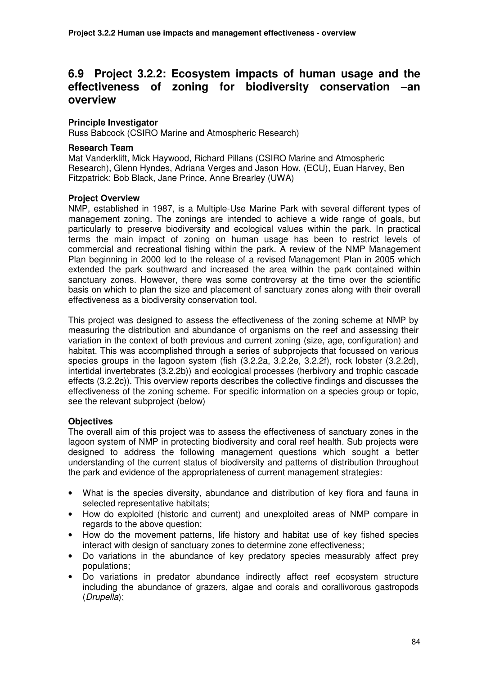# **6.9 Project 3.2.2: Ecosystem impacts of human usage and the effectiveness of zoning for biodiversity conservation –an overview**

## **Principle Investigator**

Russ Babcock (CSIRO Marine and Atmospheric Research)

### **Research Team**

Mat Vanderklift, Mick Haywood, Richard Pillans (CSIRO Marine and Atmospheric Research), Glenn Hyndes, Adriana Verges and Jason How, (ECU), Euan Harvey, Ben Fitzpatrick; Bob Black, Jane Prince, Anne Brearley (UWA)

### **Project Overview**

NMP, established in 1987, is a Multiple-Use Marine Park with several different types of management zoning. The zonings are intended to achieve a wide range of goals, but particularly to preserve biodiversity and ecological values within the park. In practical terms the main impact of zoning on human usage has been to restrict levels of commercial and recreational fishing within the park. A review of the NMP Management Plan beginning in 2000 led to the release of a revised Management Plan in 2005 which extended the park southward and increased the area within the park contained within sanctuary zones. However, there was some controversy at the time over the scientific basis on which to plan the size and placement of sanctuary zones along with their overall effectiveness as a biodiversity conservation tool.

This project was designed to assess the effectiveness of the zoning scheme at NMP by measuring the distribution and abundance of organisms on the reef and assessing their variation in the context of both previous and current zoning (size, age, configuration) and habitat. This was accomplished through a series of subprojects that focussed on various species groups in the lagoon system (fish (3.2.2a, 3.2.2e, 3.2.2f), rock lobster (3.2.2d), intertidal invertebrates (3.2.2b)) and ecological processes (herbivory and trophic cascade effects (3.2.2c)). This overview reports describes the collective findings and discusses the effectiveness of the zoning scheme. For specific information on a species group or topic, see the relevant subproject (below)

# **Objectives**

The overall aim of this project was to assess the effectiveness of sanctuary zones in the lagoon system of NMP in protecting biodiversity and coral reef health. Sub projects were designed to address the following management questions which sought a better understanding of the current status of biodiversity and patterns of distribution throughout the park and evidence of the appropriateness of current management strategies:

- What is the species diversity, abundance and distribution of key flora and fauna in selected representative habitats;
- How do exploited (historic and current) and unexploited areas of NMP compare in regards to the above question:
- How do the movement patterns, life history and habitat use of key fished species interact with design of sanctuary zones to determine zone effectiveness;
- Do variations in the abundance of key predatory species measurably affect prey populations;
- Do variations in predator abundance indirectly affect reef ecosystem structure including the abundance of grazers, algae and corals and corallivorous gastropods (Drupella);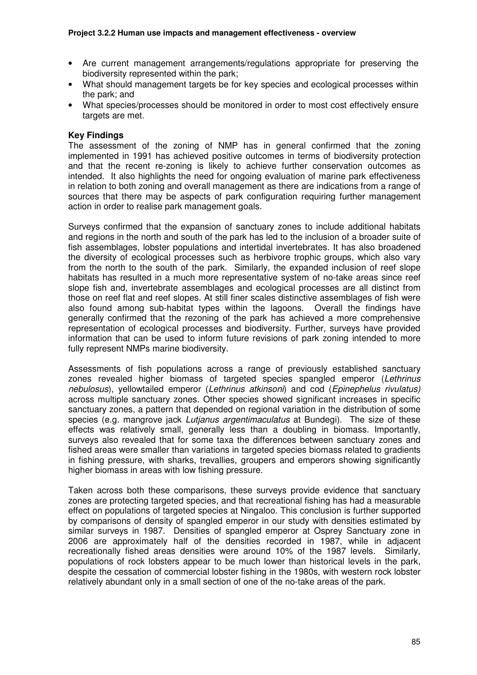- Are current management arrangements/regulations appropriate for preserving the biodiversity represented within the park;
- What should management targets be for key species and ecological processes within the park; and
- What species/processes should be monitored in order to most cost effectively ensure targets are met.

### **Key Findings**

The assessment of the zoning of NMP has in general confirmed that the zoning implemented in 1991 has achieved positive outcomes in terms of biodiversity protection and that the recent re-zoning is likely to achieve further conservation outcomes as intended. It also highlights the need for ongoing evaluation of marine park effectiveness in relation to both zoning and overall management as there are indications from a range of sources that there may be aspects of park configuration requiring further management action in order to realise park management goals.

Surveys confirmed that the expansion of sanctuary zones to include additional habitats and regions in the north and south of the park has led to the inclusion of a broader suite of fish assemblages, lobster populations and intertidal invertebrates. It has also broadened the diversity of ecological processes such as herbivore trophic groups, which also vary from the north to the south of the park. Similarly, the expanded inclusion of reef slope habitats has resulted in a much more representative system of no-take areas since reef slope fish and, invertebrate assemblages and ecological processes are all distinct from those on reef flat and reef slopes. At still finer scales distinctive assemblages of fish were also found among sub-habitat types within the lagoons. Overall the findings have generally confirmed that the rezoning of the park has achieved a more comprehensive representation of ecological processes and biodiversity. Further, surveys have provided information that can be used to inform future revisions of park zoning intended to more fully represent NMPs marine biodiversity.

Assessments of fish populations across a range of previously established sanctuary zones revealed higher biomass of targeted species spangled emperor (Lethrinus nebulosus), yellowtailed emperor (Lethrinus atkinsoni) and cod (Epinephelus rivulatus) across multiple sanctuary zones. Other species showed significant increases in specific sanctuary zones, a pattern that depended on regional variation in the distribution of some species (e.g. mangrove jack Lutjanus argentimaculatus at Bundegi). The size of these effects was relatively small, generally less than a doubling in biomass. Importantly, surveys also revealed that for some taxa the differences between sanctuary zones and fished areas were smaller than variations in targeted species biomass related to gradients in fishing pressure, with sharks, trevallies, groupers and emperors showing significantly higher biomass in areas with low fishing pressure.

Taken across both these comparisons, these surveys provide evidence that sanctuary zones are protecting targeted species, and that recreational fishing has had a measurable effect on populations of targeted species at Ningaloo. This conclusion is further supported by comparisons of density of spangled emperor in our study with densities estimated by similar surveys in 1987. Densities of spangled emperor at Osprey Sanctuary zone in 2006 are approximately half of the densities recorded in 1987, while in adjacent recreationally fished areas densities were around 10% of the 1987 levels. Similarly, populations of rock lobsters appear to be much lower than historical levels in the park, despite the cessation of commercial lobster fishing in the 1980s, with western rock lobster relatively abundant only in a small section of one of the no-take areas of the park.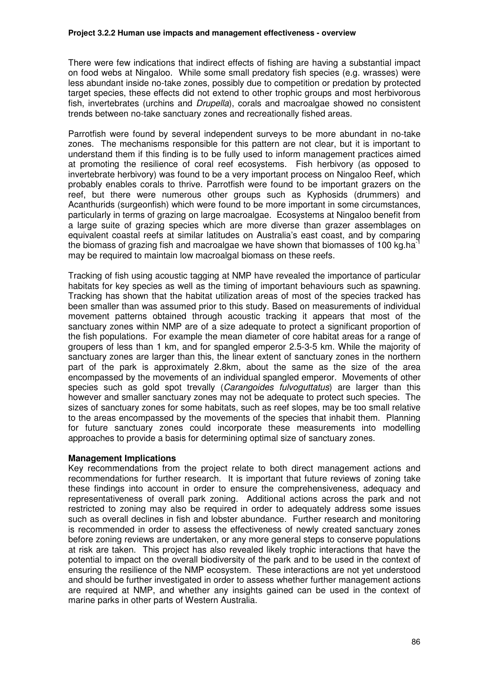There were few indications that indirect effects of fishing are having a substantial impact on food webs at Ningaloo. While some small predatory fish species (e.g. wrasses) were less abundant inside no-take zones, possibly due to competition or predation by protected target species, these effects did not extend to other trophic groups and most herbivorous fish, invertebrates (urchins and *Drupella*), corals and macroalgae showed no consistent trends between no-take sanctuary zones and recreationally fished areas.

Parrotfish were found by several independent surveys to be more abundant in no-take zones. The mechanisms responsible for this pattern are not clear, but it is important to understand them if this finding is to be fully used to inform management practices aimed at promoting the resilience of coral reef ecosystems. Fish herbivory (as opposed to invertebrate herbivory) was found to be a very important process on Ningaloo Reef, which probably enables corals to thrive. Parrotfish were found to be important grazers on the reef, but there were numerous other groups such as Kyphosids (drummers) and Acanthurids (surgeonfish) which were found to be more important in some circumstances, particularly in terms of grazing on large macroalgae. Ecosystems at Ningaloo benefit from a large suite of grazing species which are more diverse than grazer assemblages on equivalent coastal reefs at similar latitudes on Australia's east coast, and by comparing the biomass of grazing fish and macroalgae we have shown that biomasses of 100 kg.ha<sup>-1</sup> may be required to maintain low macroalgal biomass on these reefs.

Tracking of fish using acoustic tagging at NMP have revealed the importance of particular habitats for key species as well as the timing of important behaviours such as spawning. Tracking has shown that the habitat utilization areas of most of the species tracked has been smaller than was assumed prior to this study. Based on measurements of individual movement patterns obtained through acoustic tracking it appears that most of the sanctuary zones within NMP are of a size adequate to protect a significant proportion of the fish populations. For example the mean diameter of core habitat areas for a range of groupers of less than 1 km, and for spangled emperor 2.5-3-5 km. While the majority of sanctuary zones are larger than this, the linear extent of sanctuary zones in the northern part of the park is approximately 2.8km, about the same as the size of the area encompassed by the movements of an individual spangled emperor. Movements of other species such as gold spot trevally (Carangoides fulvoguttatus) are larger than this however and smaller sanctuary zones may not be adequate to protect such species. The sizes of sanctuary zones for some habitats, such as reef slopes, may be too small relative to the areas encompassed by the movements of the species that inhabit them. Planning for future sanctuary zones could incorporate these measurements into modelling approaches to provide a basis for determining optimal size of sanctuary zones.

### **Management Implications**

Key recommendations from the project relate to both direct management actions and recommendations for further research. It is important that future reviews of zoning take these findings into account in order to ensure the comprehensiveness, adequacy and representativeness of overall park zoning. Additional actions across the park and not restricted to zoning may also be required in order to adequately address some issues such as overall declines in fish and lobster abundance. Further research and monitoring is recommended in order to assess the effectiveness of newly created sanctuary zones before zoning reviews are undertaken, or any more general steps to conserve populations at risk are taken. This project has also revealed likely trophic interactions that have the potential to impact on the overall biodiversity of the park and to be used in the context of ensuring the resilience of the NMP ecosystem. These interactions are not yet understood and should be further investigated in order to assess whether further management actions are required at NMP, and whether any insights gained can be used in the context of marine parks in other parts of Western Australia.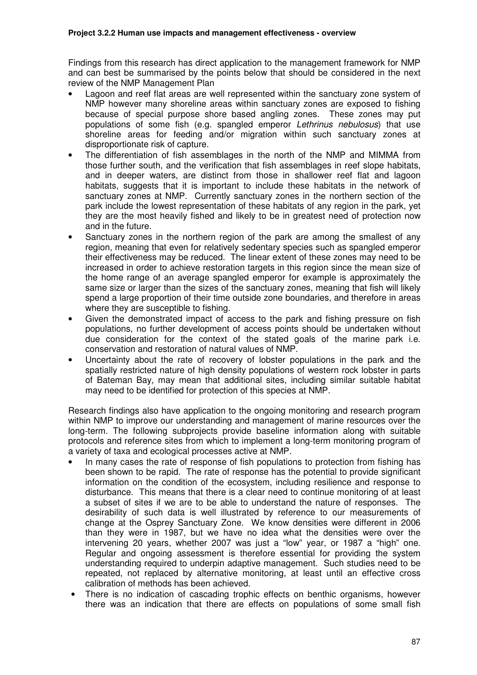Findings from this research has direct application to the management framework for NMP and can best be summarised by the points below that should be considered in the next review of the NMP Management Plan

- Lagoon and reef flat areas are well represented within the sanctuary zone system of NMP however many shoreline areas within sanctuary zones are exposed to fishing because of special purpose shore based angling zones. These zones may put populations of some fish (e.g. spangled emperor Lethrinus nebulosus) that use shoreline areas for feeding and/or migration within such sanctuary zones at disproportionate risk of capture.
- The differentiation of fish assemblages in the north of the NMP and MIMMA from those further south, and the verification that fish assemblages in reef slope habitats, and in deeper waters, are distinct from those in shallower reef flat and lagoon habitats, suggests that it is important to include these habitats in the network of sanctuary zones at NMP. Currently sanctuary zones in the northern section of the park include the lowest representation of these habitats of any region in the park, yet they are the most heavily fished and likely to be in greatest need of protection now and in the future.
- Sanctuary zones in the northern region of the park are among the smallest of any region, meaning that even for relatively sedentary species such as spangled emperor their effectiveness may be reduced. The linear extent of these zones may need to be increased in order to achieve restoration targets in this region since the mean size of the home range of an average spangled emperor for example is approximately the same size or larger than the sizes of the sanctuary zones, meaning that fish will likely spend a large proportion of their time outside zone boundaries, and therefore in areas where they are susceptible to fishing.
- Given the demonstrated impact of access to the park and fishing pressure on fish populations, no further development of access points should be undertaken without due consideration for the context of the stated goals of the marine park i.e. conservation and restoration of natural values of NMP.
- Uncertainty about the rate of recovery of lobster populations in the park and the spatially restricted nature of high density populations of western rock lobster in parts of Bateman Bay, may mean that additional sites, including similar suitable habitat may need to be identified for protection of this species at NMP.

Research findings also have application to the ongoing monitoring and research program within NMP to improve our understanding and management of marine resources over the long-term. The following subprojects provide baseline information along with suitable protocols and reference sites from which to implement a long-term monitoring program of a variety of taxa and ecological processes active at NMP.

- In many cases the rate of response of fish populations to protection from fishing has been shown to be rapid. The rate of response has the potential to provide significant information on the condition of the ecosystem, including resilience and response to disturbance. This means that there is a clear need to continue monitoring of at least a subset of sites if we are to be able to understand the nature of responses. The desirability of such data is well illustrated by reference to our measurements of change at the Osprey Sanctuary Zone. We know densities were different in 2006 than they were in 1987, but we have no idea what the densities were over the intervening 20 years, whether 2007 was just a "low" year, or 1987 a "high" one. Regular and ongoing assessment is therefore essential for providing the system understanding required to underpin adaptive management. Such studies need to be repeated, not replaced by alternative monitoring, at least until an effective cross calibration of methods has been achieved.
- There is no indication of cascading trophic effects on benthic organisms, however there was an indication that there are effects on populations of some small fish